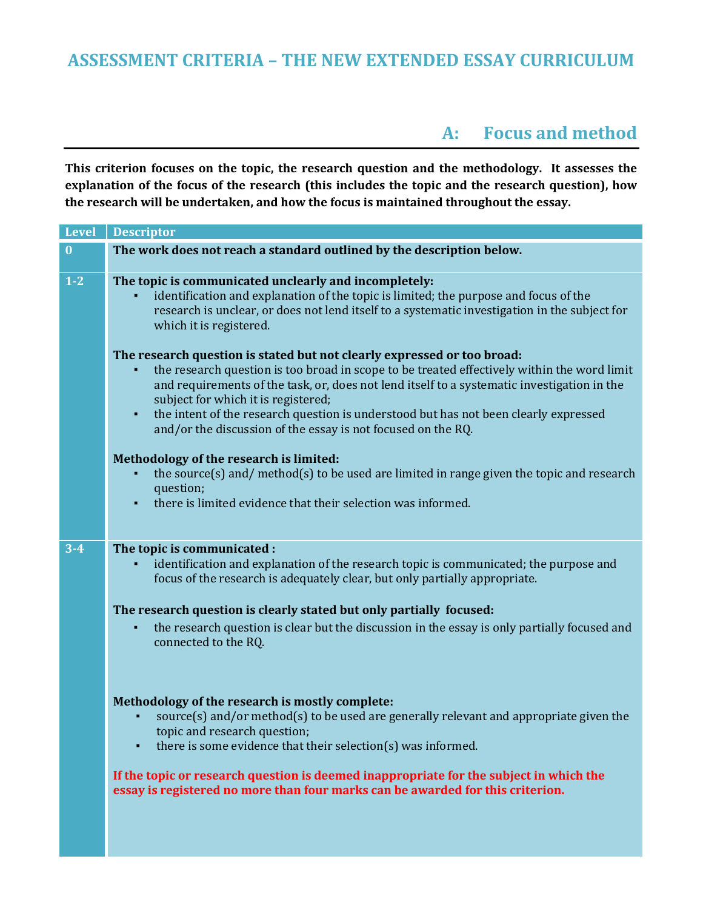## **ASSESSMENT CRITERIA – THE NEW EXTENDED ESSAY CURRICULUM**

### **A: Focus and method**

**This criterion focuses on the topic, the research question and the methodology. It assesses the explanation of the focus of the research (this includes the topic and the research question), how the research will be undertaken, and how the focus is maintained throughout the essay.**

| Level            | <b>Descriptor</b>                                                                                                                                                                                                                                                                                                                                                                              |
|------------------|------------------------------------------------------------------------------------------------------------------------------------------------------------------------------------------------------------------------------------------------------------------------------------------------------------------------------------------------------------------------------------------------|
| $\boldsymbol{0}$ | The work does not reach a standard outlined by the description below.                                                                                                                                                                                                                                                                                                                          |
| $\overline{1-2}$ | The topic is communicated unclearly and incompletely:<br>identification and explanation of the topic is limited; the purpose and focus of the<br>research is unclear, or does not lend itself to a systematic investigation in the subject for<br>which it is registered.<br>The research question is stated but not clearly expressed or too broad:                                           |
|                  | the research question is too broad in scope to be treated effectively within the word limit<br>and requirements of the task, or, does not lend itself to a systematic investigation in the<br>subject for which it is registered;<br>the intent of the research question is understood but has not been clearly expressed<br>٠<br>and/or the discussion of the essay is not focused on the RQ. |
|                  | Methodology of the research is limited:<br>the source(s) and/method(s) to be used are limited in range given the topic and research<br>question;<br>there is limited evidence that their selection was informed.                                                                                                                                                                               |
|                  |                                                                                                                                                                                                                                                                                                                                                                                                |
| $3 - 4$          | The topic is communicated :<br>identification and explanation of the research topic is communicated; the purpose and<br>focus of the research is adequately clear, but only partially appropriate.                                                                                                                                                                                             |
|                  | The research question is clearly stated but only partially focused:                                                                                                                                                                                                                                                                                                                            |
|                  | the research question is clear but the discussion in the essay is only partially focused and<br>connected to the RQ.                                                                                                                                                                                                                                                                           |
|                  | Methodology of the research is mostly complete:<br>source(s) and/or method(s) to be used are generally relevant and appropriate given the<br>topic and research question;<br>there is some evidence that their selection(s) was informed.                                                                                                                                                      |
|                  | If the topic or research question is deemed inappropriate for the subject in which the<br>essay is registered no more than four marks can be awarded for this criterion.                                                                                                                                                                                                                       |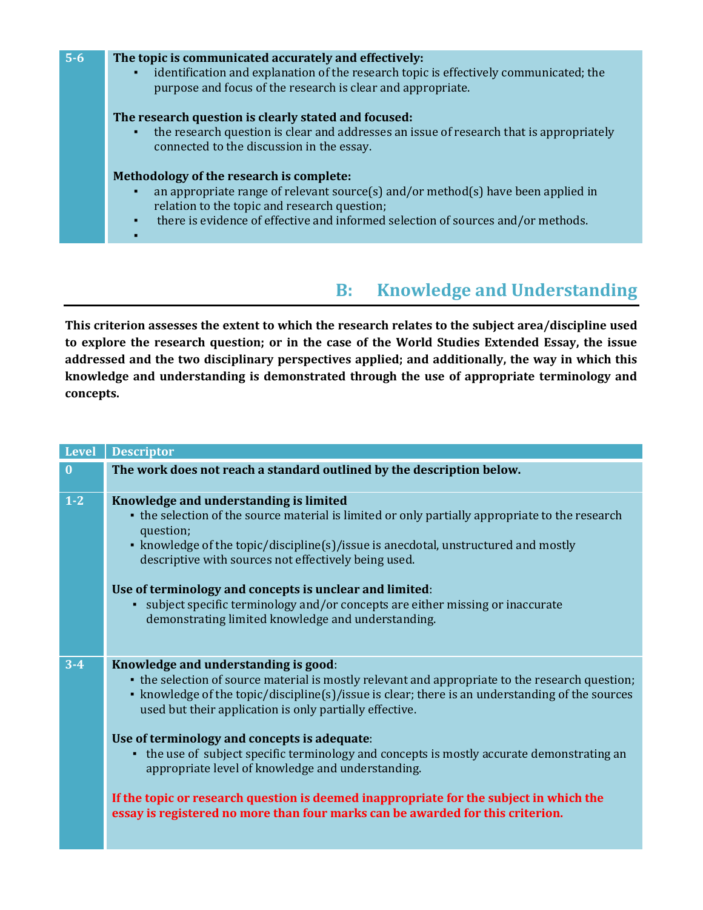

# **B: Knowledge and Understanding**

**This criterion assesses the extent to which the research relates to the subject area/discipline used to explore the research question; or in the case of the World Studies Extended Essay, the issue addressed and the two disciplinary perspectives applied; and additionally, the way in which this knowledge and understanding is demonstrated through the use of appropriate terminology and concepts.**

| <b>Level</b>     | <b>Descriptor</b>                                                                                                                                                                                                                                                                                     |
|------------------|-------------------------------------------------------------------------------------------------------------------------------------------------------------------------------------------------------------------------------------------------------------------------------------------------------|
| $\boldsymbol{0}$ | The work does not reach a standard outlined by the description below.                                                                                                                                                                                                                                 |
| $1-2$            | Knowledge and understanding is limited<br>• the selection of the source material is limited or only partially appropriate to the research<br>question;<br>• knowledge of the topic/discipline(s)/issue is anecdotal, unstructured and mostly<br>descriptive with sources not effectively being used.  |
|                  | Use of terminology and concepts is unclear and limited:<br>• subject specific terminology and/or concepts are either missing or inaccurate<br>demonstrating limited knowledge and understanding.                                                                                                      |
| $3 - 4$          | Knowledge and understanding is good:<br>• the selection of source material is mostly relevant and appropriate to the research question;<br>• knowledge of the topic/discipline(s)/issue is clear; there is an understanding of the sources<br>used but their application is only partially effective. |
|                  | Use of terminology and concepts is adequate:<br>• the use of subject specific terminology and concepts is mostly accurate demonstrating an<br>appropriate level of knowledge and understanding.                                                                                                       |
|                  | If the topic or research question is deemed inappropriate for the subject in which the<br>essay is registered no more than four marks can be awarded for this criterion.                                                                                                                              |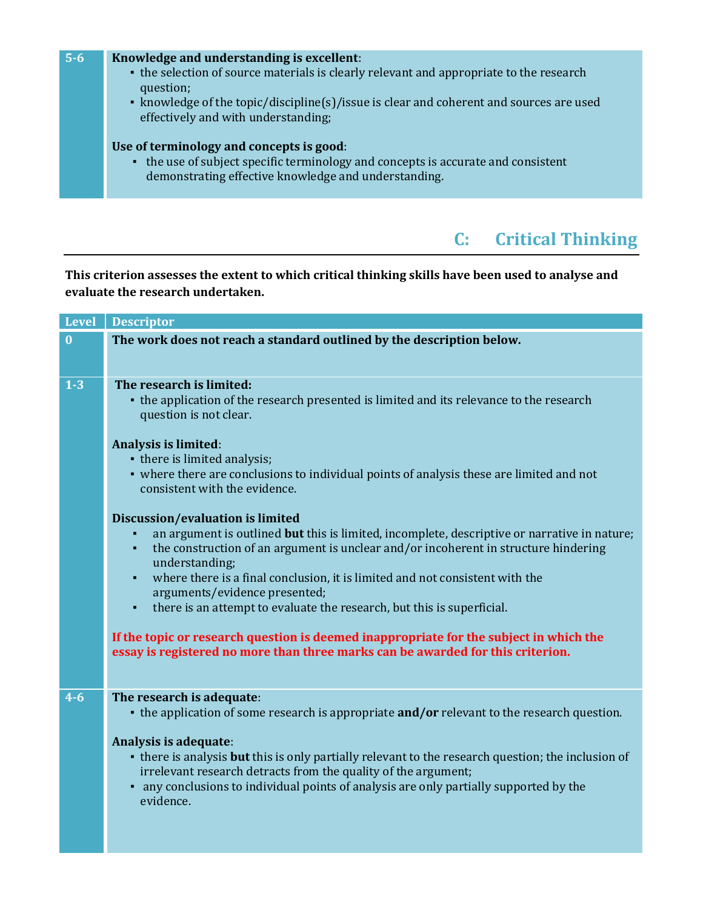| $5 - 6$ | Knowledge and understanding is excellent:<br>• the selection of source materials is clearly relevant and appropriate to the research<br>question;<br>• knowledge of the topic/discipline(s)/issue is clear and coherent and sources are used<br>effectively and with understanding; |
|---------|-------------------------------------------------------------------------------------------------------------------------------------------------------------------------------------------------------------------------------------------------------------------------------------|
|         | Use of terminology and concepts is good:<br>• the use of subject specific terminology and concepts is accurate and consistent<br>demonstrating effective knowledge and understanding.                                                                                               |

# **C: Critical Thinking**

#### **This criterion assesses the extent to which critical thinking skills have been used to analyse and evaluate the research undertaken.**

| <b>Level</b> | <b>Descriptor</b>                                                                                                                                                                                                                                                                                                                                                                                                                                                             |
|--------------|-------------------------------------------------------------------------------------------------------------------------------------------------------------------------------------------------------------------------------------------------------------------------------------------------------------------------------------------------------------------------------------------------------------------------------------------------------------------------------|
| $\bf{0}$     | The work does not reach a standard outlined by the description below.                                                                                                                                                                                                                                                                                                                                                                                                         |
| $1-3$        | The research is limited:<br>• the application of the research presented is limited and its relevance to the research<br>question is not clear.                                                                                                                                                                                                                                                                                                                                |
|              | Analysis is limited:<br>• there is limited analysis;<br>• where there are conclusions to individual points of analysis these are limited and not<br>consistent with the evidence.                                                                                                                                                                                                                                                                                             |
|              | Discussion/evaluation is limited<br>an argument is outlined but this is limited, incomplete, descriptive or narrative in nature;<br>the construction of an argument is unclear and/or incoherent in structure hindering<br>$\blacksquare$<br>understanding;<br>where there is a final conclusion, it is limited and not consistent with the<br>$\blacksquare$<br>arguments/evidence presented;<br>there is an attempt to evaluate the research, but this is superficial.<br>٠ |
|              | If the topic or research question is deemed inappropriate for the subject in which the<br>essay is registered no more than three marks can be awarded for this criterion.                                                                                                                                                                                                                                                                                                     |
| $4 - 6$      | The research is adequate:<br>• the application of some research is appropriate <b>and/or</b> relevant to the research question.<br>Analysis is adequate:<br>• there is analysis but this is only partially relevant to the research question; the inclusion of                                                                                                                                                                                                                |
|              | irrelevant research detracts from the quality of the argument;<br>• any conclusions to individual points of analysis are only partially supported by the<br>evidence.                                                                                                                                                                                                                                                                                                         |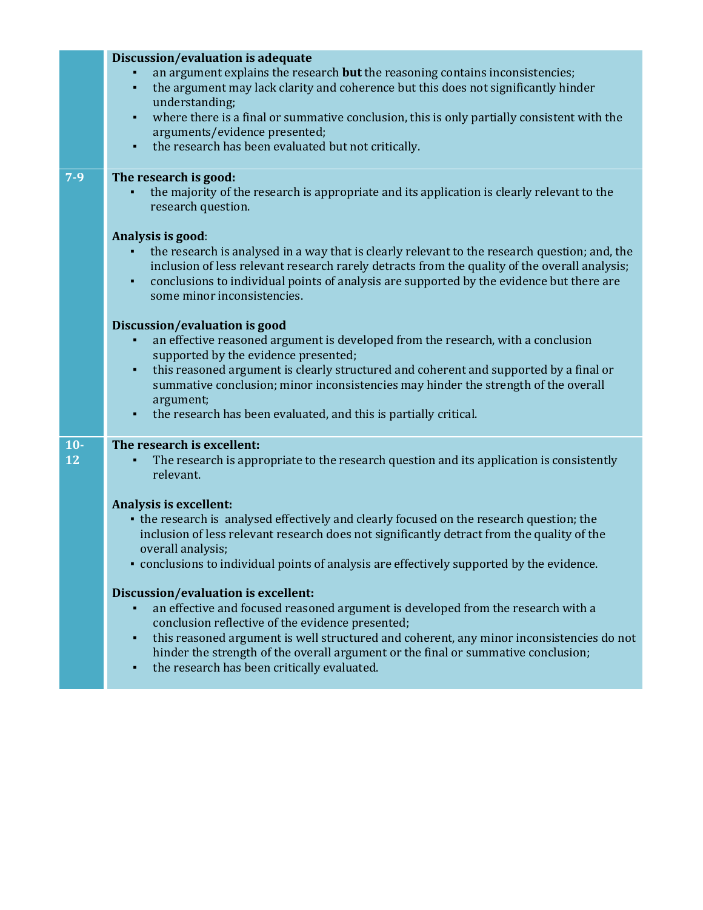|             | Discussion/evaluation is adequate<br>an argument explains the research but the reasoning contains inconsistencies;<br>the argument may lack clarity and coherence but this does not significantly hinder<br>$\blacksquare$<br>understanding;<br>where there is a final or summative conclusion, this is only partially consistent with the<br>$\blacksquare$<br>arguments/evidence presented;<br>the research has been evaluated but not critically. |
|-------------|------------------------------------------------------------------------------------------------------------------------------------------------------------------------------------------------------------------------------------------------------------------------------------------------------------------------------------------------------------------------------------------------------------------------------------------------------|
| $7 - 9$     | The research is good:<br>the majority of the research is appropriate and its application is clearly relevant to the<br>research question.                                                                                                                                                                                                                                                                                                            |
|             | Analysis is good:<br>the research is analysed in a way that is clearly relevant to the research question; and, the<br>inclusion of less relevant research rarely detracts from the quality of the overall analysis;<br>conclusions to individual points of analysis are supported by the evidence but there are<br>٠<br>some minor inconsistencies.                                                                                                  |
|             | Discussion/evaluation is good<br>an effective reasoned argument is developed from the research, with a conclusion<br>supported by the evidence presented;<br>this reasoned argument is clearly structured and coherent and supported by a final or<br>٠<br>summative conclusion; minor inconsistencies may hinder the strength of the overall<br>argument;<br>the research has been evaluated, and this is partially critical.<br>٠                  |
| $10-$<br>12 | The research is excellent:<br>The research is appropriate to the research question and its application is consistently<br>relevant.                                                                                                                                                                                                                                                                                                                  |
|             | Analysis is excellent:<br>• the research is analysed effectively and clearly focused on the research question; the<br>inclusion of less relevant research does not significantly detract from the quality of the<br>overall analysis;<br>• conclusions to individual points of analysis are effectively supported by the evidence.                                                                                                                   |
|             | Discussion/evaluation is excellent:<br>an effective and focused reasoned argument is developed from the research with a<br>conclusion reflective of the evidence presented;<br>this reasoned argument is well structured and coherent, any minor inconsistencies do not<br>٠<br>hinder the strength of the overall argument or the final or summative conclusion;<br>the research has been critically evaluated.<br>٠                                |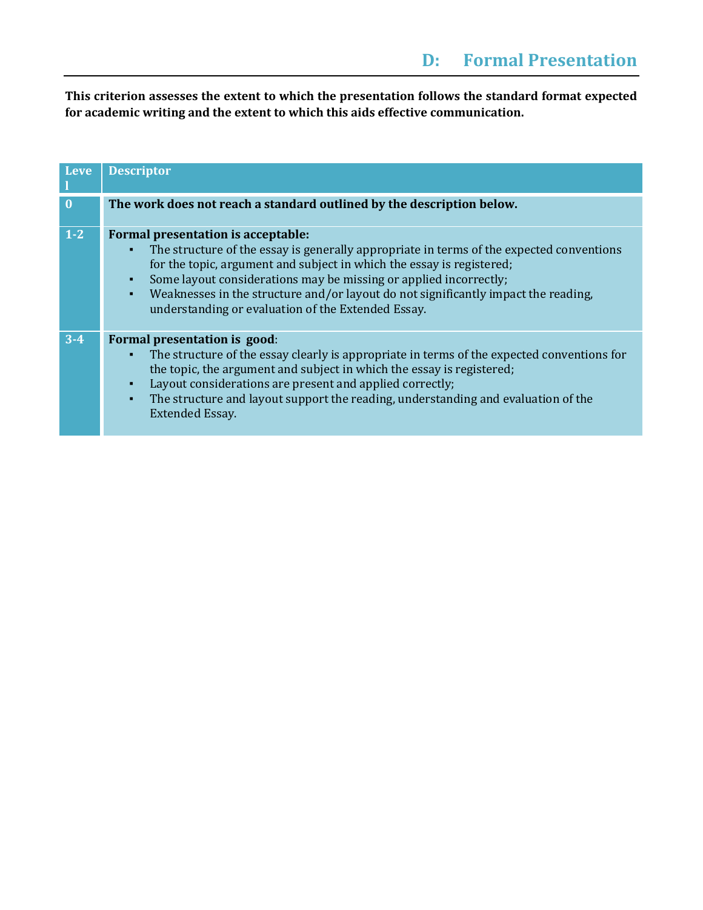**This criterion assesses the extent to which the presentation follows the standard format expected for academic writing and the extent to which this aids effective communication.**

| <b>Leve</b>  | <b>Descriptor</b>                                                                                                                                                                                                                                                                                                                                                                                                                                                 |
|--------------|-------------------------------------------------------------------------------------------------------------------------------------------------------------------------------------------------------------------------------------------------------------------------------------------------------------------------------------------------------------------------------------------------------------------------------------------------------------------|
| $\mathbf{0}$ | The work does not reach a standard outlined by the description below.                                                                                                                                                                                                                                                                                                                                                                                             |
| $1-2$        | Formal presentation is acceptable:<br>The structure of the essay is generally appropriate in terms of the expected conventions<br>٠<br>for the topic, argument and subject in which the essay is registered;<br>Some layout considerations may be missing or applied incorrectly;<br>$\blacksquare$<br>Weaknesses in the structure and/or layout do not significantly impact the reading,<br>$\blacksquare$<br>understanding or evaluation of the Extended Essay. |
| $3 - 4$      | Formal presentation is good:<br>The structure of the essay clearly is appropriate in terms of the expected conventions for<br>the topic, the argument and subject in which the essay is registered;<br>Layout considerations are present and applied correctly;<br>٠<br>The structure and layout support the reading, understanding and evaluation of the<br>$\blacksquare$<br><b>Extended Essay.</b>                                                             |